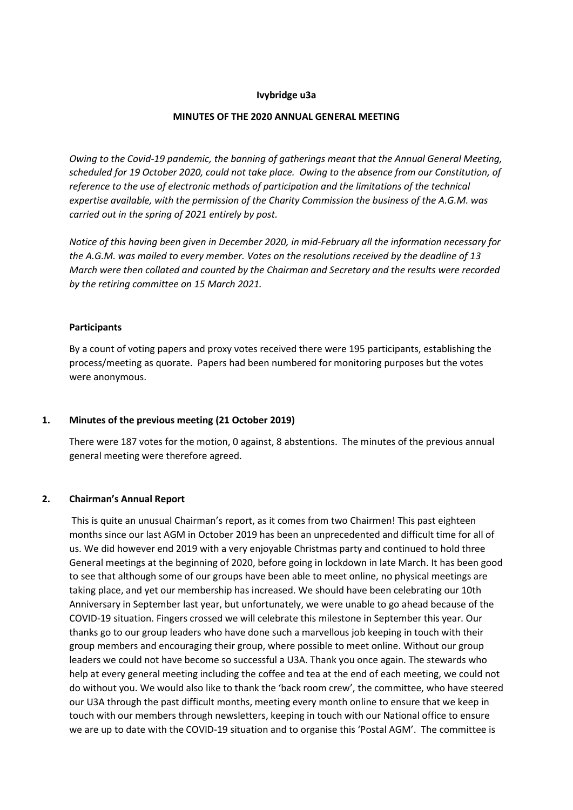### Ivybridge u3a

#### MINUTES OF THE 2020 ANNUAL GENERAL MEETING

Owing to the Covid-19 pandemic, the banning of gatherings meant that the Annual General Meeting, scheduled for 19 October 2020, could not take place. Owing to the absence from our Constitution, of reference to the use of electronic methods of participation and the limitations of the technical expertise available, with the permission of the Charity Commission the business of the A.G.M. was carried out in the spring of 2021 entirely by post.

Notice of this having been given in December 2020, in mid-February all the information necessary for the A.G.M. was mailed to every member. Votes on the resolutions received by the deadline of 13 March were then collated and counted by the Chairman and Secretary and the results were recorded by the retiring committee on 15 March 2021.

### Participants

By a count of voting papers and proxy votes received there were 195 participants, establishing the process/meeting as quorate. Papers had been numbered for monitoring purposes but the votes were anonymous.

#### 1. Minutes of the previous meeting (21 October 2019)

There were 187 votes for the motion, 0 against, 8 abstentions. The minutes of the previous annual general meeting were therefore agreed.

## 2. Chairman's Annual Report

 This is quite an unusual Chairman's report, as it comes from two Chairmen! This past eighteen months since our last AGM in October 2019 has been an unprecedented and difficult time for all of us. We did however end 2019 with a very enjoyable Christmas party and continued to hold three General meetings at the beginning of 2020, before going in lockdown in late March. It has been good to see that although some of our groups have been able to meet online, no physical meetings are taking place, and yet our membership has increased. We should have been celebrating our 10th Anniversary in September last year, but unfortunately, we were unable to go ahead because of the COVID-19 situation. Fingers crossed we will celebrate this milestone in September this year. Our thanks go to our group leaders who have done such a marvellous job keeping in touch with their group members and encouraging their group, where possible to meet online. Without our group leaders we could not have become so successful a U3A. Thank you once again. The stewards who help at every general meeting including the coffee and tea at the end of each meeting, we could not do without you. We would also like to thank the 'back room crew', the committee, who have steered our U3A through the past difficult months, meeting every month online to ensure that we keep in touch with our members through newsletters, keeping in touch with our National office to ensure we are up to date with the COVID-19 situation and to organise this 'Postal AGM'. The committee is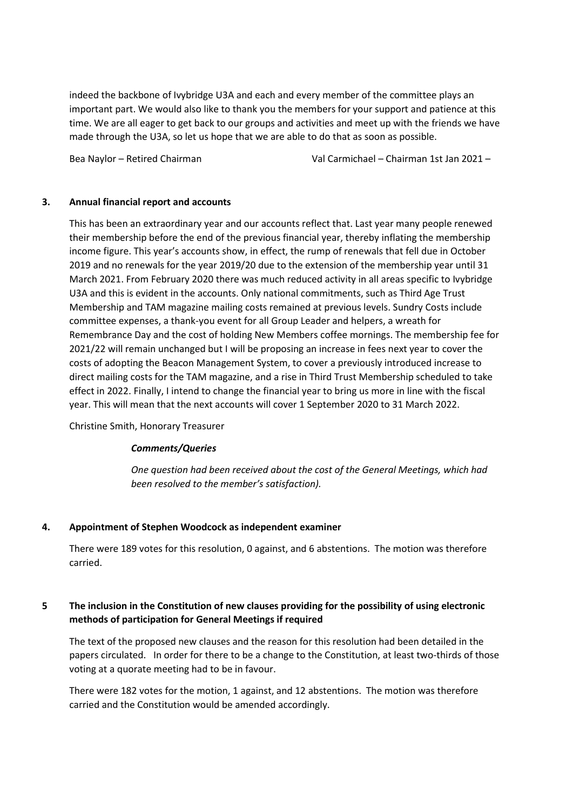indeed the backbone of Ivybridge U3A and each and every member of the committee plays an important part. We would also like to thank you the members for your support and patience at this time. We are all eager to get back to our groups and activities and meet up with the friends we have made through the U3A, so let us hope that we are able to do that as soon as possible.

Bea Naylor – Retired Chairman Val Carmichael – Chairman 1st Jan 2021 –

## 3. Annual financial report and accounts

 This has been an extraordinary year and our accounts reflect that. Last year many people renewed their membership before the end of the previous financial year, thereby inflating the membership income figure. This year's accounts show, in effect, the rump of renewals that fell due in October 2019 and no renewals for the year 2019/20 due to the extension of the membership year until 31 March 2021. From February 2020 there was much reduced activity in all areas specific to Ivybridge U3A and this is evident in the accounts. Only national commitments, such as Third Age Trust Membership and TAM magazine mailing costs remained at previous levels. Sundry Costs include committee expenses, a thank-you event for all Group Leader and helpers, a wreath for Remembrance Day and the cost of holding New Members coffee mornings. The membership fee for 2021/22 will remain unchanged but I will be proposing an increase in fees next year to cover the costs of adopting the Beacon Management System, to cover a previously introduced increase to direct mailing costs for the TAM magazine, and a rise in Third Trust Membership scheduled to take effect in 2022. Finally, I intend to change the financial year to bring us more in line with the fiscal year. This will mean that the next accounts will cover 1 September 2020 to 31 March 2022.

Christine Smith, Honorary Treasurer

# Comments/Queries

One question had been received about the cost of the General Meetings, which had been resolved to the member's satisfaction).

# 4. Appointment of Stephen Woodcock as independent examiner

There were 189 votes for this resolution, 0 against, and 6 abstentions. The motion was therefore carried.

# 5 The inclusion in the Constitution of new clauses providing for the possibility of using electronic methods of participation for General Meetings if required

The text of the proposed new clauses and the reason for this resolution had been detailed in the papers circulated. In order for there to be a change to the Constitution, at least two-thirds of those voting at a quorate meeting had to be in favour.

 There were 182 votes for the motion, 1 against, and 12 abstentions. The motion was therefore carried and the Constitution would be amended accordingly.